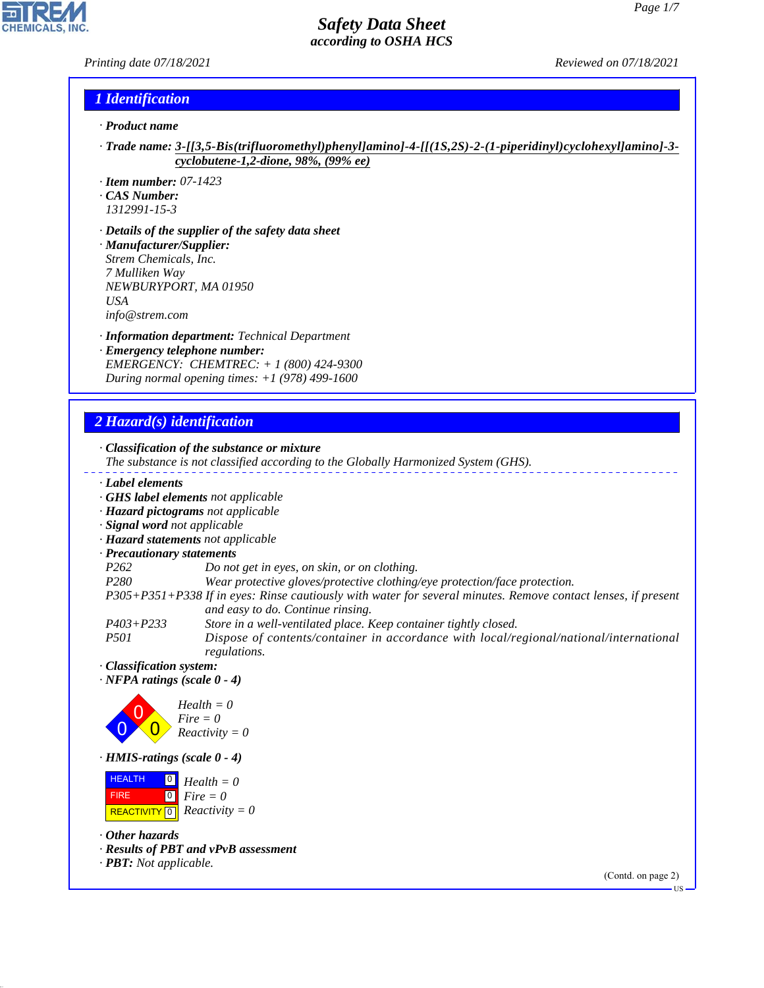#### *Printing date 07/18/2021 Reviewed on 07/18/2021*

P

**CHEMICALS, INC.** 

### *1 Identification*

- *· Product name*
- *· Trade name: 3-[[3,5-Bis(trifluoromethyl)phenyl]amino]-4-[[(1S,2S)-2-(1-piperidinyl)cyclohexyl]amino]-3 cyclobutene-1,2-dione, 98%, (99% ee)*
- *· Item number: 07-1423*
- *· CAS Number:*
- *1312991-15-3*
- *· Details of the supplier of the safety data sheet · Manufacturer/Supplier: Strem Chemicals, Inc. 7 Mulliken Way NEWBURYPORT, MA 01950 USA info@strem.com*
- *· Information department: Technical Department · Emergency telephone number: EMERGENCY: CHEMTREC: + 1 (800) 424-9300 During normal opening times: +1 (978) 499-1600*

# *2 Hazard(s) identification*

44.1.1

| · Classification of the substance or mixture<br>The substance is not classified according to the Globally Harmonized System (GHS).                 |                              |
|----------------------------------------------------------------------------------------------------------------------------------------------------|------------------------------|
| Label elements                                                                                                                                     |                              |
| GHS label elements not applicable                                                                                                                  |                              |
| · Hazard pictograms not applicable                                                                                                                 |                              |
| · Signal word not applicable                                                                                                                       |                              |
| · Hazard statements not applicable                                                                                                                 |                              |
| · Precautionary statements                                                                                                                         |                              |
| P <sub>262</sub><br>Do not get in eyes, on skin, or on clothing.                                                                                   |                              |
| P280<br>Wear protective gloves/protective clothing/eye protection/face protection.                                                                 |                              |
| P305+P351+P338 If in eyes: Rinse cautiously with water for several minutes. Remove contact lenses, if present<br>and easy to do. Continue rinsing. |                              |
| $P403 + P233$<br>Store in a well-ventilated place. Keep container tightly closed.                                                                  |                              |
| <i>P501</i><br>Dispose of contents/container in accordance with local/regional/national/international<br>regulations.                              |                              |
| · Classification system:<br>$\cdot$ NFPA ratings (scale 0 - 4)                                                                                     |                              |
| $Health = 0$<br>$Fire = 0$<br>$Reactivity = 0$                                                                                                     |                              |
| · HMIS-ratings (scale 0 - 4)                                                                                                                       |                              |
| <b>HEALTH</b><br>$Health = 0$<br>$\boxed{0}$<br><b>FIRE</b><br>$Fire = 0$<br>$Reactivity = 0$<br><b>REACTIVITY</b> 0                               |                              |
| $\cdot$ Other hazards                                                                                                                              |                              |
| · Results of PBT and vPvB assessment<br>$\cdot$ <b>PBT:</b> Not applicable.                                                                        |                              |
|                                                                                                                                                    | (Contd. on page 2)<br>$US -$ |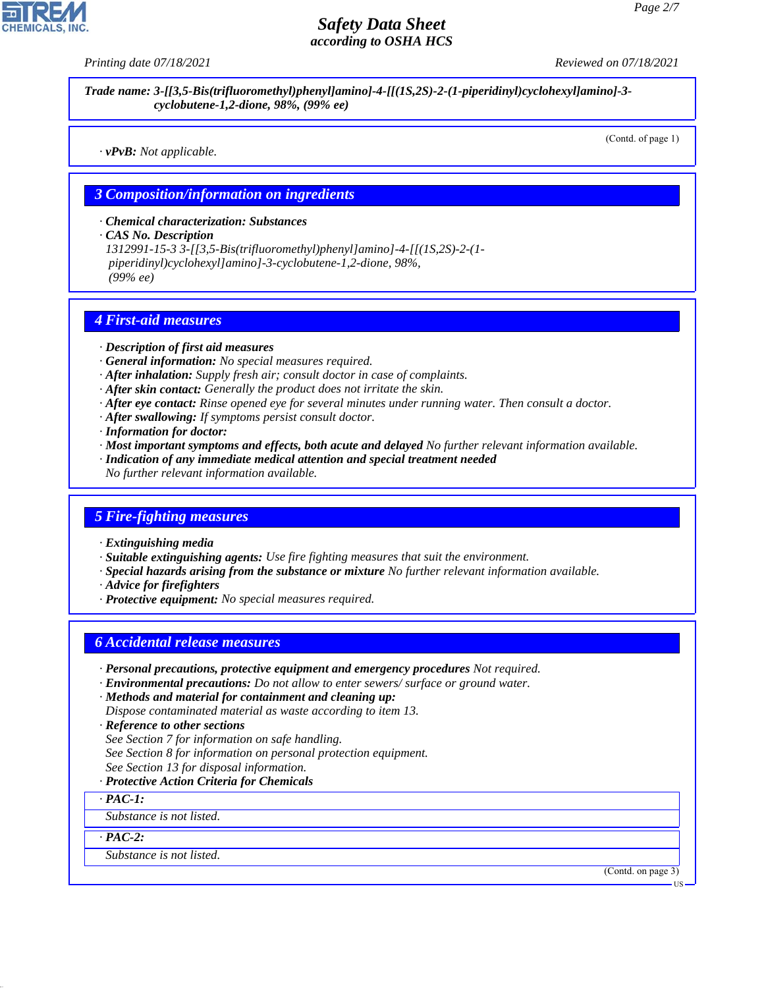

*Trade name: 3-[[3,5-Bis(trifluoromethyl)phenyl]amino]-4-[[(1S,2S)-2-(1-piperidinyl)cyclohexyl]amino]-3 cyclobutene-1,2-dione, 98%, (99% ee)*

*· vPvB: Not applicable.*

(Contd. of page 1)

#### *3 Composition/information on ingredients*

*· Chemical characterization: Substances*

*· CAS No. Description*

*1312991-15-3 3-[[3,5-Bis(trifluoromethyl)phenyl]amino]-4-[[(1S,2S)-2-(1 piperidinyl)cyclohexyl]amino]-3-cyclobutene-1,2-dione, 98%, (99% ee)*

#### *4 First-aid measures*

- *· Description of first aid measures*
- *· General information: No special measures required.*
- *· After inhalation: Supply fresh air; consult doctor in case of complaints.*
- *· After skin contact: Generally the product does not irritate the skin.*
- *· After eye contact: Rinse opened eye for several minutes under running water. Then consult a doctor.*
- *· After swallowing: If symptoms persist consult doctor.*
- *· Information for doctor:*
- *· Most important symptoms and effects, both acute and delayed No further relevant information available.*
- *· Indication of any immediate medical attention and special treatment needed*
- *No further relevant information available.*

### *5 Fire-fighting measures*

- *· Extinguishing media*
- *· Suitable extinguishing agents: Use fire fighting measures that suit the environment.*
- *· Special hazards arising from the substance or mixture No further relevant information available.*
- *· Advice for firefighters*
- *· Protective equipment: No special measures required.*

# *6 Accidental release measures*

- *· Personal precautions, protective equipment and emergency procedures Not required.*
- *· Environmental precautions: Do not allow to enter sewers/ surface or ground water.*
- *· Methods and material for containment and cleaning up: Dispose contaminated material as waste according to item 13.*
- *· Reference to other sections*
- *See Section 7 for information on safe handling.*
- *See Section 8 for information on personal protection equipment.*
- *See Section 13 for disposal information.*

#### *· Protective Action Criteria for Chemicals*

*· PAC-1:*

*Substance is not listed.*

*· PAC-2:*

44.1.1

*Substance is not listed.*

(Contd. on page 3)

**HS**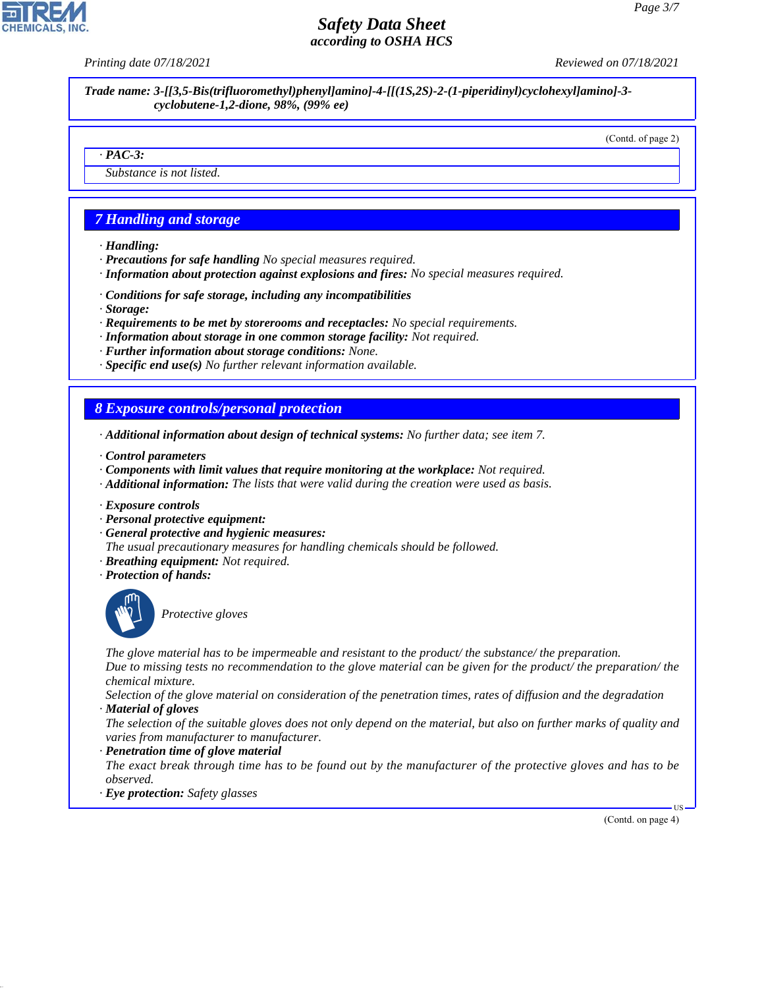*Printing date 07/18/2021 Reviewed on 07/18/2021*

*Trade name: 3-[[3,5-Bis(trifluoromethyl)phenyl]amino]-4-[[(1S,2S)-2-(1-piperidinyl)cyclohexyl]amino]-3 cyclobutene-1,2-dione, 98%, (99% ee)*

(Contd. of page 2)

#### *· PAC-3:*

*Substance is not listed.*

# *7 Handling and storage*

- *· Handling:*
- *· Precautions for safe handling No special measures required.*
- *· Information about protection against explosions and fires: No special measures required.*
- *· Conditions for safe storage, including any incompatibilities*
- *· Storage:*
- *· Requirements to be met by storerooms and receptacles: No special requirements.*
- *· Information about storage in one common storage facility: Not required.*
- *· Further information about storage conditions: None.*
- *· Specific end use(s) No further relevant information available.*

### *8 Exposure controls/personal protection*

- *· Additional information about design of technical systems: No further data; see item 7.*
- *· Control parameters*
- *· Components with limit values that require monitoring at the workplace: Not required.*
- *· Additional information: The lists that were valid during the creation were used as basis.*
- *· Exposure controls*
- *· Personal protective equipment:*
- *· General protective and hygienic measures:*
- *The usual precautionary measures for handling chemicals should be followed.*
- *· Breathing equipment: Not required.*
- *· Protection of hands:*



44.1.1

\_S*Protective gloves*

*The glove material has to be impermeable and resistant to the product/ the substance/ the preparation.*

*Due to missing tests no recommendation to the glove material can be given for the product/ the preparation/ the chemical mixture.*

*Selection of the glove material on consideration of the penetration times, rates of diffusion and the degradation · Material of gloves*

*The selection of the suitable gloves does not only depend on the material, but also on further marks of quality and varies from manufacturer to manufacturer.*

*· Penetration time of glove material*

*The exact break through time has to be found out by the manufacturer of the protective gloves and has to be observed.*

*· Eye protection: Safety glasses*

(Contd. on page 4)

US

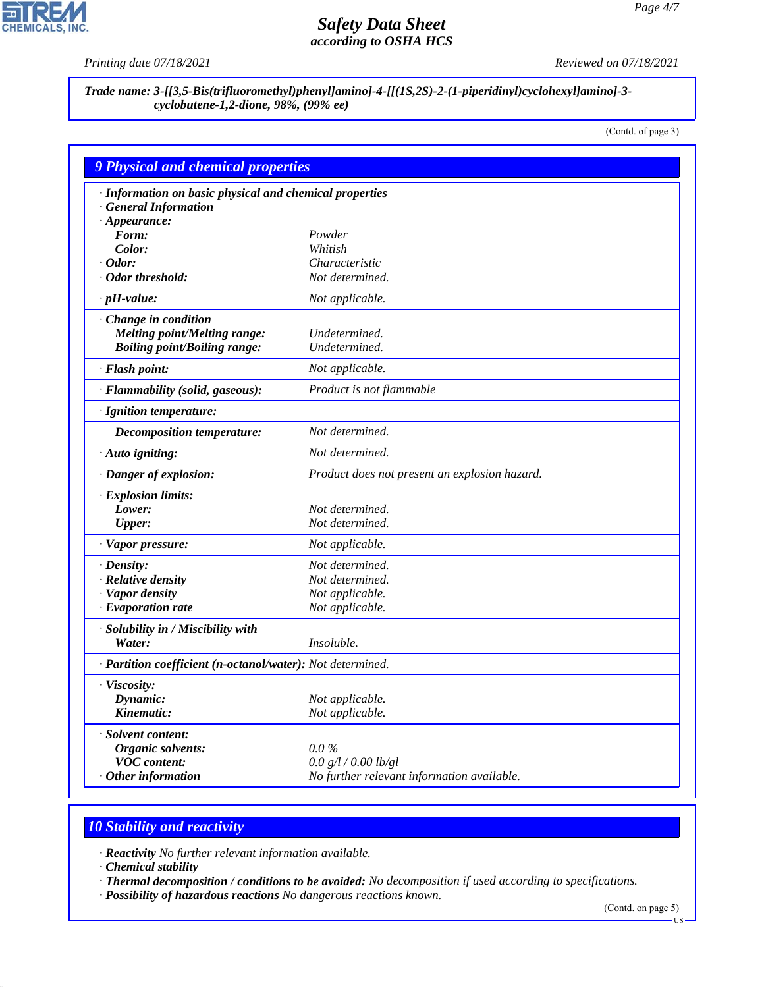P

**CHEMICALS, INC.** 

*Printing date 07/18/2021 Reviewed on 07/18/2021*

*Trade name: 3-[[3,5-Bis(trifluoromethyl)phenyl]amino]-4-[[(1S,2S)-2-(1-piperidinyl)cyclohexyl]amino]-3 cyclobutene-1,2-dione, 98%, (99% ee)*

(Contd. of page 3)

| <b>9 Physical and chemical properties</b>                  |                                               |
|------------------------------------------------------------|-----------------------------------------------|
| · Information on basic physical and chemical properties    |                                               |
| · General Information                                      |                                               |
| $\cdot$ Appearance:                                        |                                               |
| Form:                                                      | Powder                                        |
| Color:                                                     | Whitish                                       |
| $\cdot$ Odor:                                              | Characteristic                                |
| · Odor threshold:                                          | Not determined.                               |
| $\cdot$ pH-value:                                          | Not applicable.                               |
| Change in condition                                        |                                               |
| <b>Melting point/Melting range:</b>                        | Undetermined.                                 |
| <b>Boiling point/Boiling range:</b>                        | Undetermined.                                 |
| · Flash point:                                             | Not applicable.                               |
| · Flammability (solid, gaseous):                           | Product is not flammable                      |
| · Ignition temperature:                                    |                                               |
| <b>Decomposition temperature:</b>                          | Not determined.                               |
| · Auto igniting:                                           | Not determined.                               |
| · Danger of explosion:                                     | Product does not present an explosion hazard. |
| $\cdot$ Explosion limits:                                  |                                               |
| Lower:                                                     | Not determined.                               |
| <b>Upper:</b>                                              | Not determined.                               |
| · Vapor pressure:                                          | Not applicable.                               |
| $\cdot$ Density:                                           | Not determined.                               |
| $\cdot$ Relative density                                   | Not determined.                               |
| · Vapor density                                            | Not applicable.                               |
| $\cdot$ Evaporation rate                                   | Not applicable.                               |
| · Solubility in / Miscibility with                         |                                               |
| Water:                                                     | Insoluble.                                    |
| · Partition coefficient (n-octanol/water): Not determined. |                                               |
| · Viscosity:                                               |                                               |
| Dynamic:                                                   | Not applicable.                               |
| Kinematic:                                                 | Not applicable.                               |
| · Solvent content:                                         |                                               |
| Organic solvents:                                          | $0.0\%$                                       |
| <b>VOC</b> content:                                        | 0.0 g/l / 0.00 lb/gl                          |
| $·$ Other information                                      | No further relevant information available.    |

# *10 Stability and reactivity*

*· Reactivity No further relevant information available.*

*· Chemical stability*

44.1.1

*· Thermal decomposition / conditions to be avoided: No decomposition if used according to specifications.*

*· Possibility of hazardous reactions No dangerous reactions known.*

(Contd. on page 5)

US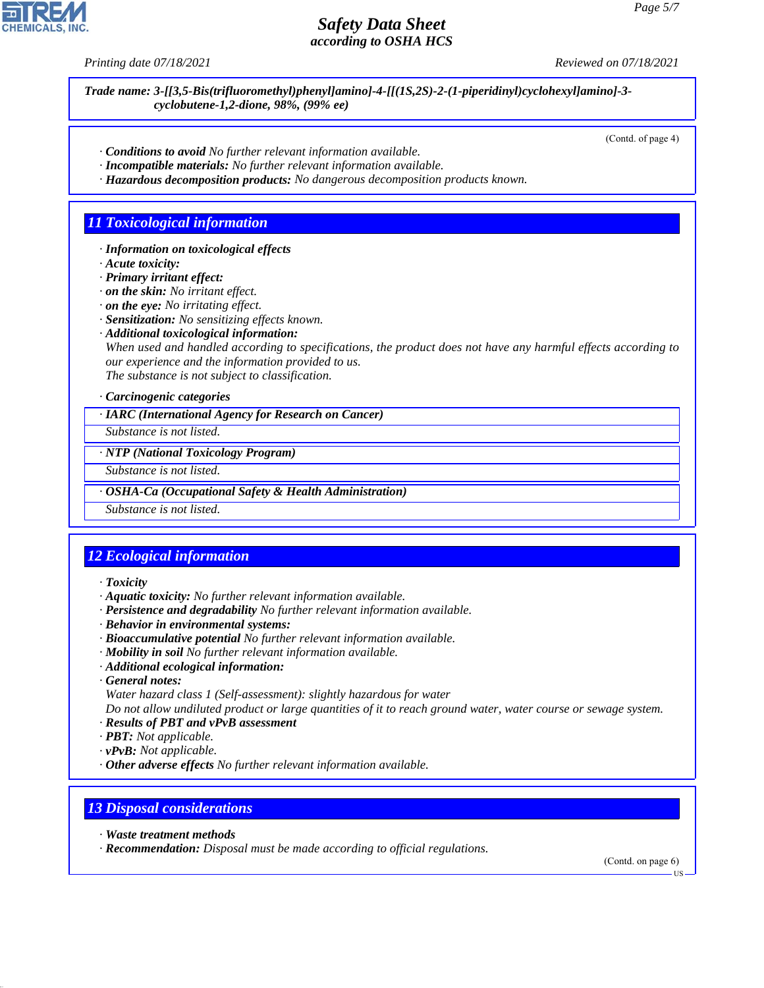*Printing date 07/18/2021 Reviewed on 07/18/2021*

*Trade name: 3-[[3,5-Bis(trifluoromethyl)phenyl]amino]-4-[[(1S,2S)-2-(1-piperidinyl)cyclohexyl]amino]-3 cyclobutene-1,2-dione, 98%, (99% ee)*

(Contd. of page 4)

- *· Conditions to avoid No further relevant information available.*
- *· Incompatible materials: No further relevant information available.*
- *· Hazardous decomposition products: No dangerous decomposition products known.*

### *11 Toxicological information*

- *· Information on toxicological effects*
- *· Acute toxicity:*
- *· Primary irritant effect:*
- *· on the skin: No irritant effect.*
- *· on the eye: No irritating effect.*
- *· Sensitization: No sensitizing effects known.*
- *· Additional toxicological information:*

*When used and handled according to specifications, the product does not have any harmful effects according to our experience and the information provided to us. The substance is not subject to classification.*

*· Carcinogenic categories*

*· IARC (International Agency for Research on Cancer)*

*Substance is not listed.*

*· NTP (National Toxicology Program)*

*Substance is not listed.*

*· OSHA-Ca (Occupational Safety & Health Administration)*

*Substance is not listed.*

# *12 Ecological information*

- *· Toxicity*
- *· Aquatic toxicity: No further relevant information available.*
- *· Persistence and degradability No further relevant information available.*
- *· Behavior in environmental systems:*
- *· Bioaccumulative potential No further relevant information available.*
- *· Mobility in soil No further relevant information available.*
- *· Additional ecological information:*
- *· General notes:*
- *Water hazard class 1 (Self-assessment): slightly hazardous for water*

*Do not allow undiluted product or large quantities of it to reach ground water, water course or sewage system. · Results of PBT and vPvB assessment*

- *· PBT: Not applicable.*
- *· vPvB: Not applicable.*
- *· Other adverse effects No further relevant information available.*

#### *13 Disposal considerations*

*· Waste treatment methods*

44.1.1

*· Recommendation: Disposal must be made according to official regulations.*

(Contd. on page 6)

US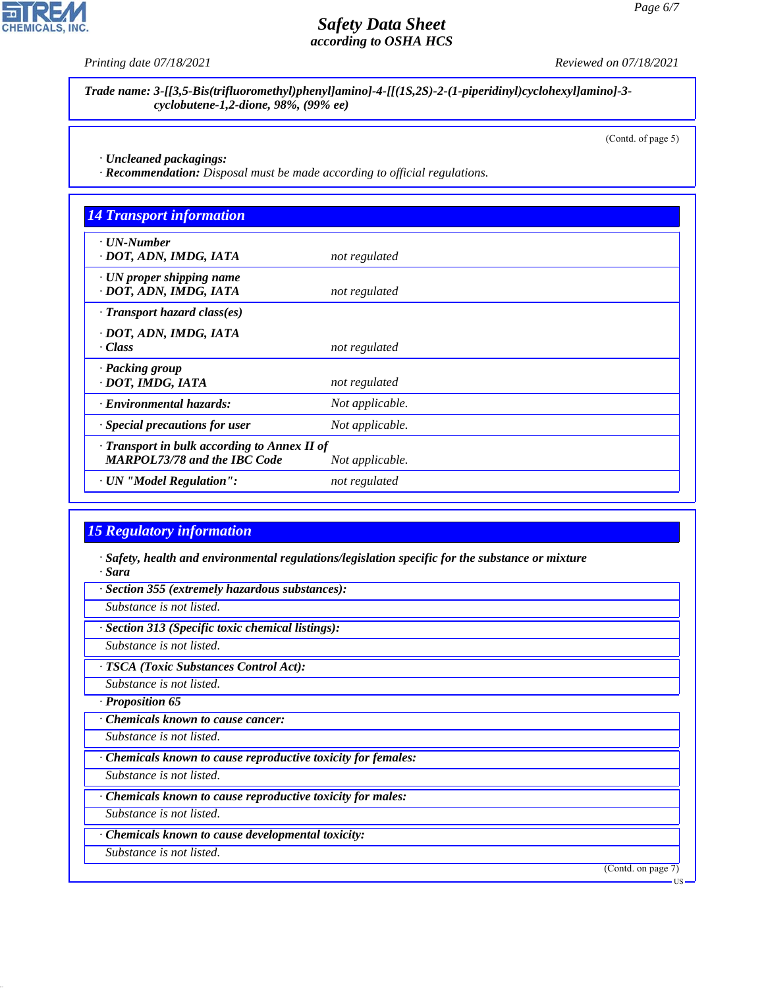*Printing date 07/18/2021 Reviewed on 07/18/2021*

*Trade name: 3-[[3,5-Bis(trifluoromethyl)phenyl]amino]-4-[[(1S,2S)-2-(1-piperidinyl)cyclohexyl]amino]-3 cyclobutene-1,2-dione, 98%, (99% ee)*

(Contd. of page 5)

*· Uncleaned packagings:*

*· Recommendation: Disposal must be made according to official regulations.*

| <b>14 Transport information</b>                                                     |                 |  |
|-------------------------------------------------------------------------------------|-----------------|--|
| $\cdot$ UN-Number<br>· DOT, ADN, IMDG, IATA                                         | not regulated   |  |
| $\cdot$ UN proper shipping name<br>· DOT, ADN, IMDG, IATA                           | not regulated   |  |
| $\cdot$ Transport hazard class(es)                                                  |                 |  |
| · DOT, ADN, IMDG, IATA<br>· Class                                                   | not regulated   |  |
| · Packing group<br>· DOT, IMDG, IATA                                                | not regulated   |  |
| · Environmental hazards:                                                            | Not applicable. |  |
| · Special precautions for user                                                      | Not applicable. |  |
| · Transport in bulk according to Annex II of<br><b>MARPOL73/78 and the IBC Code</b> | Not applicable. |  |
| · UN "Model Regulation":                                                            | not regulated   |  |

# *15 Regulatory information*

*· Safety, health and environmental regulations/legislation specific for the substance or mixture · Sara*

*· Section 355 (extremely hazardous substances):*

*Substance is not listed.*

*· Section 313 (Specific toxic chemical listings):*

*Substance is not listed.*

*· TSCA (Toxic Substances Control Act):*

*Substance is not listed.*

*· Proposition 65*

*· Chemicals known to cause cancer:*

*Substance is not listed.*

*· Chemicals known to cause reproductive toxicity for females:*

*Substance is not listed.*

*· Chemicals known to cause reproductive toxicity for males:*

*Substance is not listed.*

*· Chemicals known to cause developmental toxicity:*

*Substance is not listed.*

44.1.1

(Contd. on page 7)



US